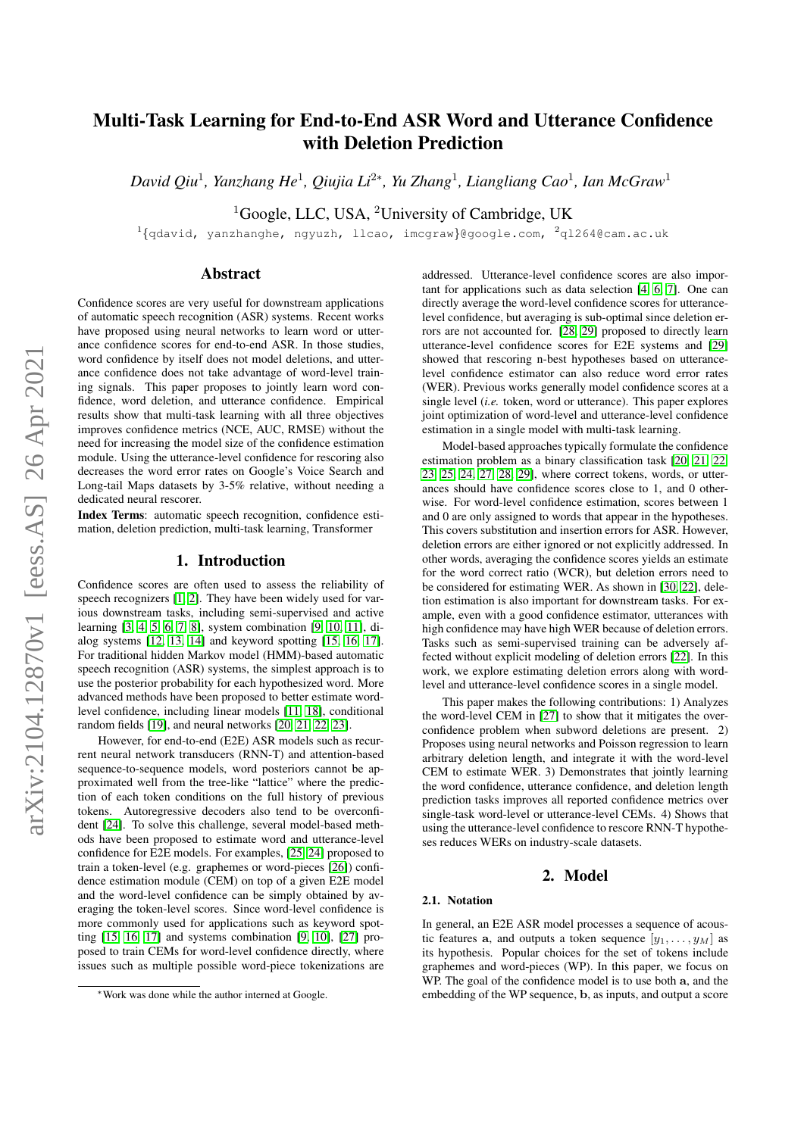# Multi-Task Learning for End-to-End ASR Word and Utterance Confidence with Deletion Prediction

*David Qiu*<sup>1</sup> *, Yanzhang He*<sup>1</sup> *, Qiujia Li*<sup>2</sup><sup>∗</sup> *, Yu Zhang*<sup>1</sup> *, Liangliang Cao*<sup>1</sup> *, Ian McGraw*<sup>1</sup>

<sup>1</sup>Google, LLC, USA, <sup>2</sup>University of Cambridge, UK

<sup>1</sup>{qdavid, yanzhanghe, ngyuzh, llcao, imcgraw}@google.com, <sup>2</sup>q1264@cam.ac.uk

# Abstract

Confidence scores are very useful for downstream applications of automatic speech recognition (ASR) systems. Recent works have proposed using neural networks to learn word or utterance confidence scores for end-to-end ASR. In those studies, word confidence by itself does not model deletions, and utterance confidence does not take advantage of word-level training signals. This paper proposes to jointly learn word confidence, word deletion, and utterance confidence. Empirical results show that multi-task learning with all three objectives improves confidence metrics (NCE, AUC, RMSE) without the need for increasing the model size of the confidence estimation module. Using the utterance-level confidence for rescoring also decreases the word error rates on Google's Voice Search and Long-tail Maps datasets by 3-5% relative, without needing a dedicated neural rescorer.

Index Terms: automatic speech recognition, confidence estimation, deletion prediction, multi-task learning, Transformer

# 1. Introduction

Confidence scores are often used to assess the reliability of speech recognizers [\[1,](#page-4-0) [2\]](#page-4-1). They have been widely used for various downstream tasks, including semi-supervised and active learning [\[3,](#page-4-2) [4,](#page-4-3) [5,](#page-4-4) [6,](#page-4-5) [7,](#page-4-6) [8\]](#page-4-7), system combination [\[9,](#page-4-8) [10,](#page-4-9) [11\]](#page-4-10), dialog systems [\[12,](#page-4-11) [13,](#page-4-12) [14\]](#page-4-13) and keyword spotting [\[15,](#page-4-14) [16,](#page-4-15) [17\]](#page-4-16). For traditional hidden Markov model (HMM)-based automatic speech recognition (ASR) systems, the simplest approach is to use the posterior probability for each hypothesized word. More advanced methods have been proposed to better estimate wordlevel confidence, including linear models [\[11,](#page-4-10) [18\]](#page-4-17), conditional random fields [\[19\]](#page-4-18), and neural networks [\[20,](#page-4-19) [21,](#page-4-20) [22,](#page-4-21) [23\]](#page-4-22).

However, for end-to-end (E2E) ASR models such as recurrent neural network transducers (RNN-T) and attention-based sequence-to-sequence models, word posteriors cannot be approximated well from the tree-like "lattice" where the prediction of each token conditions on the full history of previous tokens. Autoregressive decoders also tend to be overconfident [\[24\]](#page-4-23). To solve this challenge, several model-based methods have been proposed to estimate word and utterance-level confidence for E2E models. For examples, [\[25,](#page-4-24) [24\]](#page-4-23) proposed to train a token-level (e.g. graphemes or word-pieces [\[26\]](#page-4-25)) confidence estimation module (CEM) on top of a given E2E model and the word-level confidence can be simply obtained by averaging the token-level scores. Since word-level confidence is more commonly used for applications such as keyword spotting [\[15,](#page-4-14) [16,](#page-4-15) [17\]](#page-4-16) and systems combination [\[9,](#page-4-8) [10\]](#page-4-9), [\[27\]](#page-4-26) proposed to train CEMs for word-level confidence directly, where issues such as multiple possible word-piece tokenizations are

addressed. Utterance-level confidence scores are also important for applications such as data selection [\[4,](#page-4-3) [6,](#page-4-5) [7\]](#page-4-6). One can directly average the word-level confidence scores for utterancelevel confidence, but averaging is sub-optimal since deletion errors are not accounted for. [\[28,](#page-4-27) [29\]](#page-4-28) proposed to directly learn utterance-level confidence scores for E2E systems and [\[29\]](#page-4-28) showed that rescoring n-best hypotheses based on utterancelevel confidence estimator can also reduce word error rates (WER). Previous works generally model confidence scores at a single level (*i.e.* token, word or utterance). This paper explores joint optimization of word-level and utterance-level confidence estimation in a single model with multi-task learning.

Model-based approaches typically formulate the confidence estimation problem as a binary classification task [\[20,](#page-4-19) [21,](#page-4-20) [22,](#page-4-21) [23,](#page-4-22) [25,](#page-4-24) [24,](#page-4-23) [27,](#page-4-26) [28,](#page-4-27) [29\]](#page-4-28), where correct tokens, words, or utterances should have confidence scores close to 1, and 0 otherwise. For word-level confidence estimation, scores between 1 and 0 are only assigned to words that appear in the hypotheses. This covers substitution and insertion errors for ASR. However, deletion errors are either ignored or not explicitly addressed. In other words, averaging the confidence scores yields an estimate for the word correct ratio (WCR), but deletion errors need to be considered for estimating WER. As shown in [\[30,](#page-4-29) [22\]](#page-4-21), deletion estimation is also important for downstream tasks. For example, even with a good confidence estimator, utterances with high confidence may have high WER because of deletion errors. Tasks such as semi-supervised training can be adversely affected without explicit modeling of deletion errors [\[22\]](#page-4-21). In this work, we explore estimating deletion errors along with wordlevel and utterance-level confidence scores in a single model.

This paper makes the following contributions: 1) Analyzes the word-level CEM in [\[27\]](#page-4-26) to show that it mitigates the overconfidence problem when subword deletions are present. 2) Proposes using neural networks and Poisson regression to learn arbitrary deletion length, and integrate it with the word-level CEM to estimate WER. 3) Demonstrates that jointly learning the word confidence, utterance confidence, and deletion length prediction tasks improves all reported confidence metrics over single-task word-level or utterance-level CEMs. 4) Shows that using the utterance-level confidence to rescore RNN-T hypotheses reduces WERs on industry-scale datasets.

# 2. Model

#### <span id="page-0-0"></span>2.1. Notation

In general, an E2E ASR model processes a sequence of acoustic features **a**, and outputs a token sequence  $[y_1, \ldots, y_M]$  as its hypothesis. Popular choices for the set of tokens include graphemes and word-pieces (WP). In this paper, we focus on WP. The goal of the confidence model is to use both a, and the embedding of the WP sequence, b, as inputs, and output a score

<sup>∗</sup>Work was done while the author interned at Google.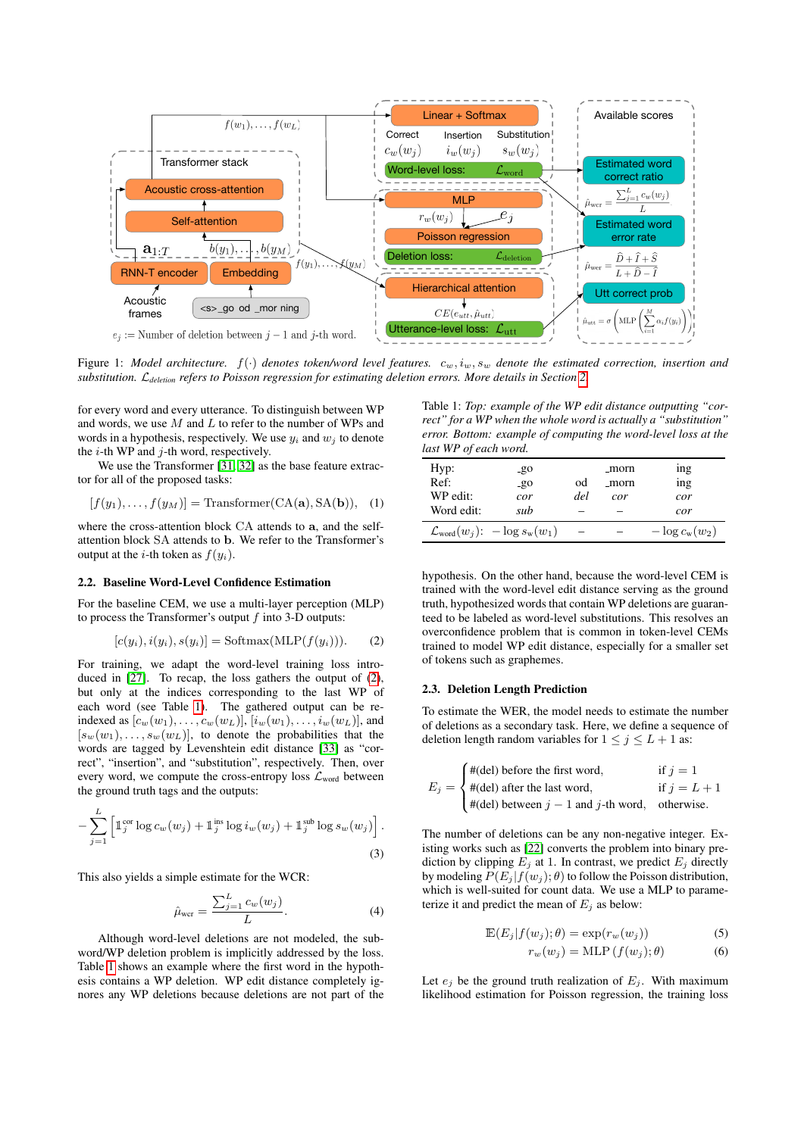

Figure 1: Model architecture.  $f(\cdot)$  denotes token/word level features.  $c_w, i_w, s_w$  denote the estimated correction, insertion and *substitution.* L*deletion refers to Poisson regression for estimating deletion errors. More details in Section [2.](#page-0-0)*

for every word and every utterance. To distinguish between WP and words, we use  $M$  and  $L$  to refer to the number of WPs and words in a hypothesis, respectively. We use  $y_i$  and  $w_j$  to denote the  $i$ -th WP and  $j$ -th word, respectively.

We use the Transformer [\[31,](#page-4-30) [32\]](#page-4-31) as the base feature extractor for all of the proposed tasks:

$$
[f(y_1),...,f(y_M)] = \text{Transformer(CA(a), SA(b))}, (1)
$$

where the cross-attention block CA attends to a, and the selfattention block SA attends to b. We refer to the Transformer's output at the *i*-th token as  $f(y_i)$ .

#### 2.2. Baseline Word-Level Confidence Estimation

For the baseline CEM, we use a multi-layer perception (MLP) to process the Transformer's output  $f$  into 3-D outputs:

$$
[c(yi), i(yi), s(yi)] = \text{Softmax}(\text{MLP}(f(yi))).
$$
 (2)

For training, we adapt the word-level training loss intro-duced in [\[27\]](#page-4-26). To recap, the loss gathers the output of [\(2\)](#page-1-0), but only at the indices corresponding to the last WP of each word (see Table [1\)](#page-1-1). The gathered output can be reindexed as  $[c_w(w_1), \ldots, c_w(w_L)], [i_w(w_1), \ldots, i_w(w_L)],$  and  $[s_w(w_1), \ldots, s_w(w_L)]$ , to denote the probabilities that the words are tagged by Levenshtein edit distance [\[33\]](#page-4-32) as "correct", "insertion", and "substitution", respectively. Then, over every word, we compute the cross-entropy loss  $\mathcal{L}_{word}$  between the ground truth tags and the outputs:

$$
-\sum_{j=1}^{L}\left[\mathbb{1}_j^{\text{cor}}\log c_w(w_j)+\mathbb{1}_j^{\text{ins}}\log i_w(w_j)+\mathbb{1}_j^{\text{sub}}\log s_w(w_j)\right].
$$
\n(3)

This also yields a simple estimate for the WCR:

$$
\hat{\mu}_{\text{wer}} = \frac{\sum_{j=1}^{L} c_w(w_j)}{L}.
$$
\n(4)

Although word-level deletions are not modeled, the subword/WP deletion problem is implicitly addressed by the loss. Table [1](#page-1-1) shows an example where the first word in the hypothesis contains a WP deletion. WP edit distance completely ignores any WP deletions because deletions are not part of the

<span id="page-1-1"></span>Table 1: *Top: example of the WP edit distance outputting "correct" for a WP when the whole word is actually a "substitution" error. Bottom: example of computing the word-level loss at the last WP of each word.*

<span id="page-1-3"></span>

| Hyp:<br>Ref:<br>WP edit:<br>Word edit: | $-80$<br>$-90$<br>cor<br>sub              | od<br>del | _morn<br>_morn<br>cor | <sub>1</sub> ng<br>ing<br>cor<br>cor |
|----------------------------------------|-------------------------------------------|-----------|-----------------------|--------------------------------------|
|                                        | $\mathcal{L}_{word}(w_i): -\log s_w(w_1)$ |           |                       | $-\log c_{\rm w}(w_2)$               |

hypothesis. On the other hand, because the word-level CEM is trained with the word-level edit distance serving as the ground truth, hypothesized words that contain WP deletions are guaranteed to be labeled as word-level substitutions. This resolves an overconfidence problem that is common in token-level CEMs trained to model WP edit distance, especially for a smaller set of tokens such as graphemes.

## <span id="page-1-0"></span>2.3. Deletion Length Prediction

To estimate the WER, the model needs to estimate the number of deletions as a secondary task. Here, we define a sequence of deletion length random variables for  $1 \le j \le L + 1$  as:

$$
E_j = \begin{cases} \#(\text{del}) \text{ before the first word}, & \text{if } j = 1\\ \#(\text{del}) \text{ after the last word}, & \text{if } j = L + 1\\ \#(\text{del}) \text{ between } j - 1 \text{ and } j\text{-th word}, & \text{otherwise.} \end{cases}
$$

<span id="page-1-2"></span>The number of deletions can be any non-negative integer. Existing works such as [\[22\]](#page-4-21) converts the problem into binary prediction by clipping  $E_j$  at 1. In contrast, we predict  $E_j$  directly by modeling  $P(E_j | f(w_j); \theta)$  to follow the Poisson distribution, which is well-suited for count data. We use a MLP to parameterize it and predict the mean of  $E_i$  as below:

$$
\mathbb{E}(E_j|f(w_j);\theta) = \exp(r_w(w_j))\tag{5}
$$

<span id="page-1-4"></span>
$$
r_w(w_j) = \text{MLP}\left(f(w_j); \theta\right) \tag{6}
$$

Let  $e_j$  be the ground truth realization of  $E_j$ . With maximum likelihood estimation for Poisson regression, the training loss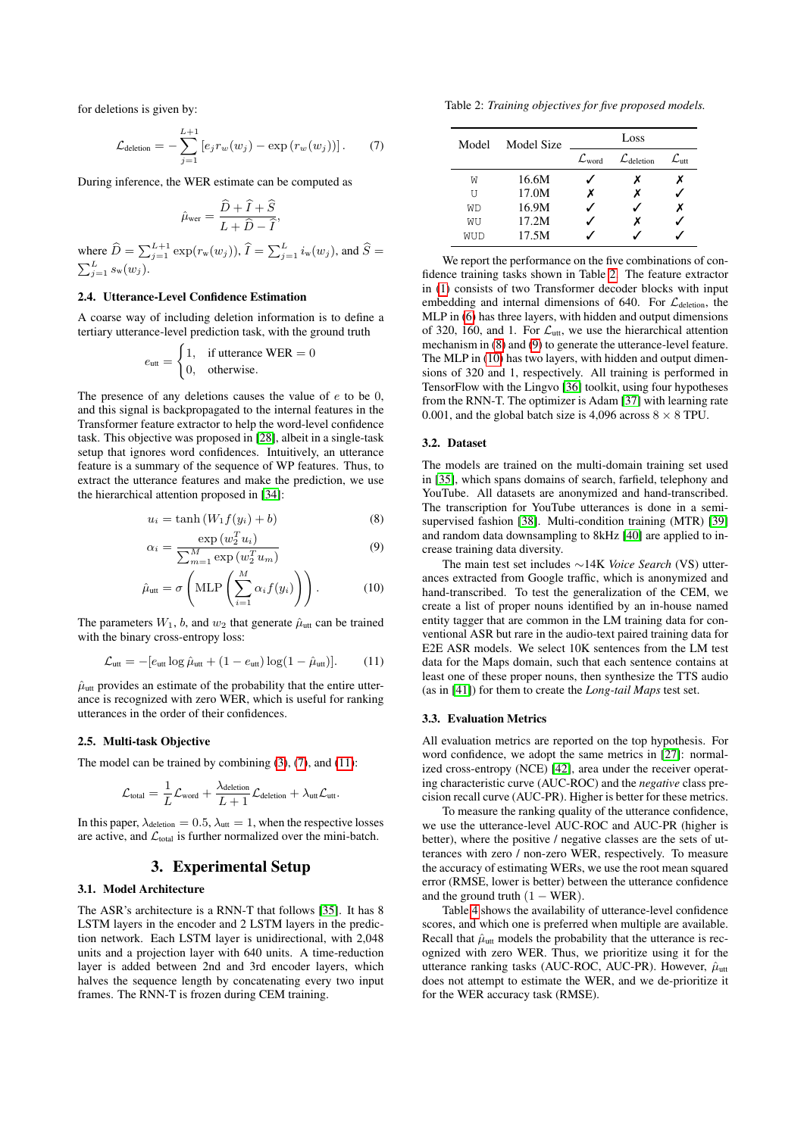for deletions is given by:

$$
\mathcal{L}_{\text{deletion}} = -\sum_{j=1}^{L+1} \left[ e_j r_w(w_j) - \exp\left(r_w(w_j)\right) \right]. \tag{7}
$$

During inference, the WER estimate can be computed as

$$
\hat{\mu}_{\text{wer}} = \frac{\hat{D} + \hat{I} + \hat{S}}{L + \hat{D} - \hat{I}},
$$

where  $\widehat{D} = \sum_{j=1}^{L+1} \exp(r_w(w_j)), \widehat{I} = \sum_{j=1}^{L} i_w(w_j)$ , and  $\widehat{S} = \sum_{j=1}^{L} s_w(w_j)$ .

## 2.4. Utterance-Level Confidence Estimation

A coarse way of including deletion information is to define a tertiary utterance-level prediction task, with the ground truth

$$
e_{\text{utt}} = \begin{cases} 1, & \text{if utterance WER} = 0\\ 0, & \text{otherwise.} \end{cases}
$$

The presence of any deletions causes the value of  $e$  to be 0, and this signal is backpropagated to the internal features in the Transformer feature extractor to help the word-level confidence task. This objective was proposed in [\[28\]](#page-4-27), albeit in a single-task setup that ignores word confidences. Intuitively, an utterance feature is a summary of the sequence of WP features. Thus, to extract the utterance features and make the prediction, we use the hierarchical attention proposed in [\[34\]](#page-4-33):

$$
u_i = \tanh\left(W_1 f(y_i) + b\right) \tag{8}
$$

$$
\alpha_i = \frac{\exp(w_2^T u_i)}{\sum_{m=1}^M \exp(w_2^T u_m)}
$$
\n(9)

$$
\hat{\mu}_{\text{utt}} = \sigma \left( \text{MLP} \left( \sum_{i=1}^{M} \alpha_i f(y_i) \right) \right). \tag{10}
$$

The parameters  $W_1$ , b, and  $w_2$  that generate  $\hat{\mu}_{\text{utt}}$  can be trained with the binary cross-entropy loss:

$$
\mathcal{L}_{\text{utt}} = -[e_{\text{utt}} \log \hat{\mu}_{\text{utt}} + (1 - e_{\text{utt}}) \log(1 - \hat{\mu}_{\text{utt}})]. \tag{11}
$$

 $\hat{\mu}_{\text{utt}}$  provides an estimate of the probability that the entire utterance is recognized with zero WER, which is useful for ranking utterances in the order of their confidences.

#### 2.5. Multi-task Objective

The model can be trained by combining  $(3)$ ,  $(7)$ , and  $(11)$ :

$$
\mathcal{L}_{\text{total}} = \frac{1}{L} \mathcal{L}_{\text{word}} + \frac{\lambda_{\text{deletion}}}{L+1} \mathcal{L}_{\text{deletion}} + \lambda_{\text{utt}} \mathcal{L}_{\text{utt}}.
$$

In this paper,  $\lambda_{\text{deletion}} = 0.5$ ,  $\lambda_{\text{utt}} = 1$ , when the respective losses are active, and  $\mathcal{L}_{total}$  is further normalized over the mini-batch.

## 3. Experimental Setup

#### 3.1. Model Architecture

The ASR's architecture is a RNN-T that follows [\[35\]](#page-4-34). It has 8 LSTM layers in the encoder and 2 LSTM layers in the prediction network. Each LSTM layer is unidirectional, with 2,048 units and a projection layer with 640 units. A time-reduction layer is added between 2nd and 3rd encoder layers, which halves the sequence length by concatenating every two input frames. The RNN-T is frozen during CEM training.

<span id="page-2-2"></span><span id="page-2-0"></span>Table 2: *Training objectives for five proposed models.*

| Model | Model Size | Loss                 |                                 |                              |
|-------|------------|----------------------|---------------------------------|------------------------------|
|       |            | $\mathcal{L}_{word}$ | $\mathcal{L}_{\text{deletion}}$ | $\mathcal{L}_{\textrm{ntt}}$ |
| W     | 16.6M      |                      | х                               |                              |
| τT    | 17.0M      | х                    | х                               |                              |
| WD    | 16.9M      |                      |                                 | Х                            |
| WU    | 17.2M      |                      | x                               |                              |
| WUD   | 17.5M      |                      |                                 |                              |

We report the performance on the five combinations of confidence training tasks shown in Table [2.](#page-2-2) The feature extractor in [\(1\)](#page-1-3) consists of two Transformer decoder blocks with input embedding and internal dimensions of 640. For  $\mathcal{L}_{\text{deletion}}$ , the MLP in [\(6\)](#page-1-4) has three layers, with hidden and output dimensions of 320, 160, and 1. For  $\mathcal{L}_{\text{utt}}$ , we use the hierarchical attention mechanism in [\(8\)](#page-2-3) and [\(9\)](#page-2-4) to generate the utterance-level feature. The MLP in [\(10\)](#page-2-5) has two layers, with hidden and output dimensions of 320 and 1, respectively. All training is performed in TensorFlow with the Lingvo [\[36\]](#page-4-35) toolkit, using four hypotheses from the RNN-T. The optimizer is Adam [\[37\]](#page-4-36) with learning rate 0.001, and the global batch size is 4,096 across  $8 \times 8$  TPU.

#### 3.2. Dataset

<span id="page-2-3"></span>The models are trained on the multi-domain training set used in [\[35\]](#page-4-34), which spans domains of search, farfield, telephony and YouTube. All datasets are anonymized and hand-transcribed. The transcription for YouTube utterances is done in a semisupervised fashion [\[38\]](#page-4-37). Multi-condition training (MTR) [\[39\]](#page-4-38) and random data downsampling to 8kHz [\[40\]](#page-4-39) are applied to increase training data diversity.

<span id="page-2-5"></span><span id="page-2-4"></span>The main test set includes ∼14K *Voice Search* (VS) utterances extracted from Google traffic, which is anonymized and hand-transcribed. To test the generalization of the CEM, we create a list of proper nouns identified by an in-house named entity tagger that are common in the LM training data for conventional ASR but rare in the audio-text paired training data for E2E ASR models. We select 10K sentences from the LM test data for the Maps domain, such that each sentence contains at least one of these proper nouns, then synthesize the TTS audio (as in [\[41\]](#page-4-40)) for them to create the *Long-tail Maps* test set.

#### <span id="page-2-1"></span>3.3. Evaluation Metrics

All evaluation metrics are reported on the top hypothesis. For word confidence, we adopt the same metrics in [\[27\]](#page-4-26): normalized cross-entropy (NCE) [\[42\]](#page-4-41), area under the receiver operating characteristic curve (AUC-ROC) and the *negative* class precision recall curve (AUC-PR). Higher is better for these metrics.

To measure the ranking quality of the utterance confidence, we use the utterance-level AUC-ROC and AUC-PR (higher is better), where the positive / negative classes are the sets of utterances with zero / non-zero WER, respectively. To measure the accuracy of estimating WERs, we use the root mean squared error (RMSE, lower is better) between the utterance confidence and the ground truth  $(1 - WER)$ .

Table [4](#page-3-0) shows the availability of utterance-level confidence scores, and which one is preferred when multiple are available. Recall that  $\hat{\mu}_{\text{utt}}$  models the probability that the utterance is recognized with zero WER. Thus, we prioritize using it for the utterance ranking tasks (AUC-ROC, AUC-PR). However,  $\hat{\mu}_{\text{utt}}$ does not attempt to estimate the WER, and we de-prioritize it for the WER accuracy task (RMSE).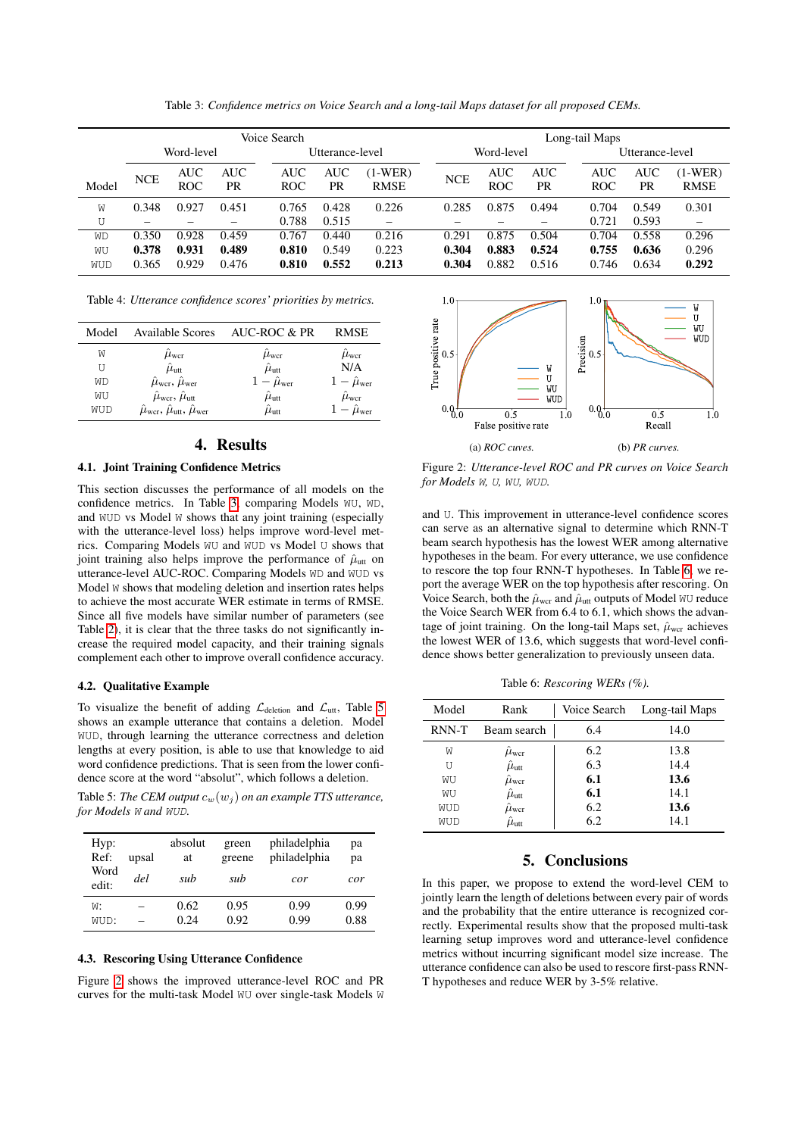<span id="page-3-1"></span>

|       | Voice Search |                          |                  |                          |                 |                        |            |                          | Long-tail Maps   |                          |                  |                        |
|-------|--------------|--------------------------|------------------|--------------------------|-----------------|------------------------|------------|--------------------------|------------------|--------------------------|------------------|------------------------|
|       |              | Word-level               |                  |                          | Utterance-level |                        |            | Word-level               |                  |                          | Utterance-level  |                        |
| Model | <b>NCE</b>   | <b>AUC</b><br><b>ROC</b> | <b>AUC</b><br>PR | <b>AUC</b><br><b>ROC</b> | AUC<br>PR       | $1-WER$<br><b>RMSE</b> | <b>NCE</b> | <b>AUC</b><br><b>ROC</b> | <b>AUC</b><br>PR | <b>AUC</b><br><b>ROC</b> | <b>AUC</b><br>PR | (1-WER)<br><b>RMSE</b> |
| W     | 0.348        | 0.927                    | 0.451            | 0.765                    | 0.428           | 0.226                  | 0.285      | 0.875                    | 0.494            | 0.704                    | 0.549            | 0.301                  |
| U     |              |                          |                  | 0.788                    | 0.515           |                        |            |                          |                  | 0.721                    | 0.593            |                        |
| WD    | 0.350        | 0.928                    | 0.459            | 0.767                    | 0.440           | 0.216                  | 0.291      | 0.875                    | 0.504            | 0.704                    | 0.558            | 0.296                  |
| WU    | 0.378        | 0.931                    | 0.489            | 0.810                    | 0.549           | 0.223                  | 0.304      | 0.883                    | 0.524            | 0.755                    | 0.636            | 0.296                  |
| WUD   | 0.365        | 0.929                    | 0.476            | 0.810                    | 0.552           | 0.213                  | 0.304      | 0.882                    | 0.516            | 0.746                    | 0.634            | 0.292                  |

Table 3: *Confidence metrics on Voice Search and a long-tail Maps dataset for all proposed CEMs.*

<span id="page-3-0"></span>

| Table 4: Utterance confidence scores' priorities by metrics. |  |  |  |  |  |
|--------------------------------------------------------------|--|--|--|--|--|
|--------------------------------------------------------------|--|--|--|--|--|

| Model | <b>Available Scores</b>                                                  | AUC-ROC & PR                 | <b>RMSE</b>                         |
|-------|--------------------------------------------------------------------------|------------------------------|-------------------------------------|
| W     | $\mu_{\text{wcr}}$                                                       | $\mu_{\text{wcr}}$           | $\hat{\mu}_{\text{wcr}}$            |
| U     | $\hat{\mu}_{\rm{utt}}$                                                   | $\hat{\mu}_{\rm{utt}}$       | N/A                                 |
| WD    | $\hat{\mu}_{\text{wcr}}, \hat{\mu}_{\text{wer}}$                         | $1 - \hat{\mu}_{\text{wer}}$ | $1 - \hat{\mu}_{\text{wer}}$        |
| WU    | $\hat{\mu}_{\text{wcr}}, \hat{\mu}_{\text{utt}}$                         | $\hat{\mu}_{\rm{utt}}$       | $\hat{\mu}_{\text{wcr}}$            |
| WUD   | $\hat{\mu}_{\text{wcr}}, \hat{\mu}_{\text{utt}}, \hat{\mu}_{\text{wer}}$ | $\hat{\mu}_{\rm{utt}}$       | $\epsilon - \hat{\mu}_{\text{wer}}$ |

## 4. Results

## 4.1. Joint Training Confidence Metrics

This section discusses the performance of all models on the confidence metrics. In Table [3,](#page-3-1) comparing Models WU, WD, and WUD vs Model W shows that any joint training (especially with the utterance-level loss) helps improve word-level metrics. Comparing Models WU and WUD vs Model U shows that joint training also helps improve the performance of  $\hat{\mu}_{\text{utt}}$  on utterance-level AUC-ROC. Comparing Models WD and WUD vs Model W shows that modeling deletion and insertion rates helps to achieve the most accurate WER estimate in terms of RMSE. Since all five models have similar number of parameters (see Table [2\)](#page-2-2), it is clear that the three tasks do not significantly increase the required model capacity, and their training signals complement each other to improve overall confidence accuracy.

#### 4.2. Qualitative Example

To visualize the benefit of adding  $\mathcal{L}_{\text{deletion}}$  and  $\mathcal{L}_{\text{utt}}$ , Table [5](#page-3-2) shows an example utterance that contains a deletion. Model WUD, through learning the utterance correctness and deletion lengths at every position, is able to use that knowledge to aid word confidence predictions. That is seen from the lower confidence score at the word "absolut", which follows a deletion.

<span id="page-3-2"></span>Table 5: *The CEM output*  $c_w(w_i)$  *on an example TTS utterance, for Models* W *and* WUD*.*

| Hyp:<br>Ref:<br>Word<br>edit: | upsal<br>del | absolut<br>at<br>sub | green<br>greene<br>sub | philadelphia<br>philadelphia<br>cor | рa<br>рa<br>cor |
|-------------------------------|--------------|----------------------|------------------------|-------------------------------------|-----------------|
| W:                            |              | 0.62                 | 0.95                   | 0.99                                | 0.99            |
| WUD:                          |              | 0.24                 | 0.92                   | 0.99                                | 0.88            |

#### 4.3. Rescoring Using Utterance Confidence

Figure [2](#page-3-3) shows the improved utterance-level ROC and PR curves for the multi-task Model WU over single-task Models W

<span id="page-3-3"></span>

Figure 2: *Utterance-level ROC and PR curves on Voice Search for Models* W*,* U*,* WU*,* WUD*.*

and U. This improvement in utterance-level confidence scores can serve as an alternative signal to determine which RNN-T beam search hypothesis has the lowest WER among alternative hypotheses in the beam. For every utterance, we use confidence to rescore the top four RNN-T hypotheses. In Table [6,](#page-3-4) we report the average WER on the top hypothesis after rescoring. On Voice Search, both the  $\hat{\mu}_{\text{wer}}$  and  $\hat{\mu}_{\text{utt}}$  outputs of Model WU reduce the Voice Search WER from 6.4 to 6.1, which shows the advantage of joint training. On the long-tail Maps set,  $\hat{\mu}_{\text{wcr}}$  achieves the lowest WER of 13.6, which suggests that word-level confidence shows better generalization to previously unseen data.

Table 6: *Rescoring WERs (%).*

<span id="page-3-4"></span>

| Model | Rank                   |     | Voice Search Long-tail Maps |
|-------|------------------------|-----|-----------------------------|
| RNN-T | Beam search            | 6.4 | 14.0                        |
| W     | $\mu_{\text{wcr}}$     | 6.2 | 13.8                        |
| ŢŢ    | $\hat{\mu}_{\rm{utt}}$ | 6.3 | 14.4                        |
| WU    | $\hat{\mu}_{\rm wcr}$  | 6.1 | 13.6                        |
| WU    | $\hat{\mu}_{\rm{utt}}$ | 6.1 | 14.1                        |
| WUD   | $\hat{\mu}_{\rm wcr}$  | 6.2 | 13.6                        |
| WUD   | $\hat{\mu}_{\rm{utt}}$ | 6.2 | 14.1                        |

# 5. Conclusions

In this paper, we propose to extend the word-level CEM to jointly learn the length of deletions between every pair of words and the probability that the entire utterance is recognized correctly. Experimental results show that the proposed multi-task learning setup improves word and utterance-level confidence metrics without incurring significant model size increase. The utterance confidence can also be used to rescore first-pass RNN-T hypotheses and reduce WER by 3-5% relative.